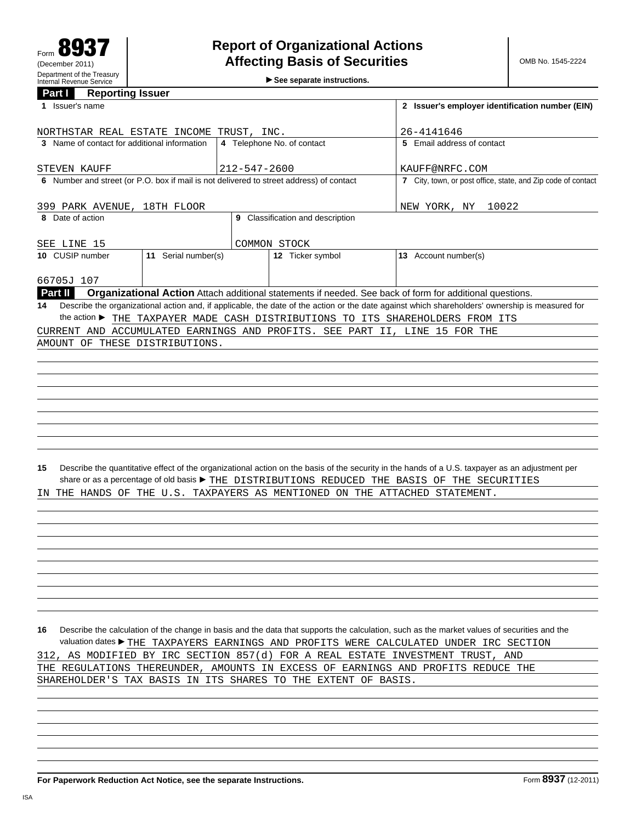**See separate instructions.**

## **Part I Reporting Issuer**

| 1 Issuer's name                                                                         | 2 Issuer's employer identification number (EIN) |                                  |                                                                                                                                                 |
|-----------------------------------------------------------------------------------------|-------------------------------------------------|----------------------------------|-------------------------------------------------------------------------------------------------------------------------------------------------|
| NORTHSTAR REAL ESTATE INCOME TRUST, INC.                                                |                                                 |                                  | 26-4141646                                                                                                                                      |
| 3 Name of contact for additional information                                            |                                                 | 4 Telephone No. of contact       | 5 Email address of contact                                                                                                                      |
|                                                                                         |                                                 |                                  |                                                                                                                                                 |
| STEVEN KAUFF                                                                            | $212 - 547 - 2600$                              |                                  | KAUFF@NRFC.COM                                                                                                                                  |
| 6 Number and street (or P.O. box if mail is not delivered to street address) of contact |                                                 |                                  | 7 City, town, or post office, state, and Zip code of contact                                                                                    |
| 399 PARK AVENUE, 18TH FLOOR                                                             |                                                 |                                  | NEW YORK, NY<br>10022                                                                                                                           |
| 8 Date of action                                                                        |                                                 | 9 Classification and description |                                                                                                                                                 |
| SEE LINE 15                                                                             |                                                 | COMMON STOCK                     |                                                                                                                                                 |
| 11 Serial number(s)<br>10 CUSIP number                                                  |                                                 | 12 Ticker symbol                 | 13 Account number(s)                                                                                                                            |
|                                                                                         |                                                 |                                  |                                                                                                                                                 |
| 66705J 107                                                                              |                                                 |                                  |                                                                                                                                                 |
| Part II                                                                                 |                                                 |                                  | Organizational Action Attach additional statements if needed. See back of form for additional questions.                                        |
| 14                                                                                      |                                                 |                                  | Describe the organizational action and, if applicable, the date of the action or the date against which shareholders' ownership is measured for |
| the action ▶ THE TAXPAYER MADE CASH DISTRIBUTIONS TO ITS SHAREHOLDERS FROM ITS          |                                                 |                                  |                                                                                                                                                 |
| CURRENT AND ACCUMULATED EARNINGS AND PROFITS. SEE PART II, LINE 15 FOR THE              |                                                 |                                  |                                                                                                                                                 |
| AMOUNT OF THESE DISTRIBUTIONS.                                                          |                                                 |                                  |                                                                                                                                                 |
|                                                                                         |                                                 |                                  |                                                                                                                                                 |
|                                                                                         |                                                 |                                  |                                                                                                                                                 |
|                                                                                         |                                                 |                                  |                                                                                                                                                 |
|                                                                                         |                                                 |                                  |                                                                                                                                                 |
|                                                                                         |                                                 |                                  |                                                                                                                                                 |
|                                                                                         |                                                 |                                  |                                                                                                                                                 |
|                                                                                         |                                                 |                                  |                                                                                                                                                 |
|                                                                                         |                                                 |                                  |                                                                                                                                                 |
|                                                                                         |                                                 |                                  |                                                                                                                                                 |
| 15                                                                                      |                                                 |                                  | Describe the quantitative effect of the organizational action on the basis of the security in the hands of a U.S. taxpayer as an adjustment per |
|                                                                                         |                                                 |                                  | share or as a percentage of old basis ▶ THE DISTRIBUTIONS REDUCED THE BASIS OF THE SECURITIES                                                   |
| THE HANDS OF THE U.S. TAXPAYERS AS MENTIONED ON THE ATTACHED STATEMENT.<br>IN.          |                                                 |                                  |                                                                                                                                                 |
|                                                                                         |                                                 |                                  |                                                                                                                                                 |
|                                                                                         |                                                 |                                  |                                                                                                                                                 |
|                                                                                         |                                                 |                                  |                                                                                                                                                 |
|                                                                                         |                                                 |                                  |                                                                                                                                                 |
|                                                                                         |                                                 |                                  |                                                                                                                                                 |
|                                                                                         |                                                 |                                  |                                                                                                                                                 |
|                                                                                         |                                                 |                                  |                                                                                                                                                 |
|                                                                                         |                                                 |                                  |                                                                                                                                                 |
|                                                                                         |                                                 |                                  |                                                                                                                                                 |
|                                                                                         |                                                 |                                  |                                                                                                                                                 |
|                                                                                         |                                                 |                                  |                                                                                                                                                 |
|                                                                                         |                                                 |                                  | 16 Describe the calculation of the change in basis and the data that supports the calculation, such as the market values of securities and the  |
|                                                                                         |                                                 |                                  | valuation dates FHE TAXPAYERS EARNINGS AND PROFITS WERE CALCULATED UNDER IRC SECTION                                                            |
| 312, AS MODIFIED BY IRC SECTION 857(d) FOR A REAL ESTATE INVESTMENT TRUST, AND          |                                                 |                                  |                                                                                                                                                 |
| THE REGULATIONS THEREUNDER, AMOUNTS IN EXCESS OF EARNINGS AND PROFITS REDUCE THE        |                                                 |                                  |                                                                                                                                                 |
| SHAREHOLDER'S TAX BASIS IN ITS SHARES TO THE EXTENT OF BASIS.                           |                                                 |                                  |                                                                                                                                                 |
|                                                                                         |                                                 |                                  |                                                                                                                                                 |
|                                                                                         |                                                 |                                  |                                                                                                                                                 |
|                                                                                         |                                                 |                                  |                                                                                                                                                 |
|                                                                                         |                                                 |                                  |                                                                                                                                                 |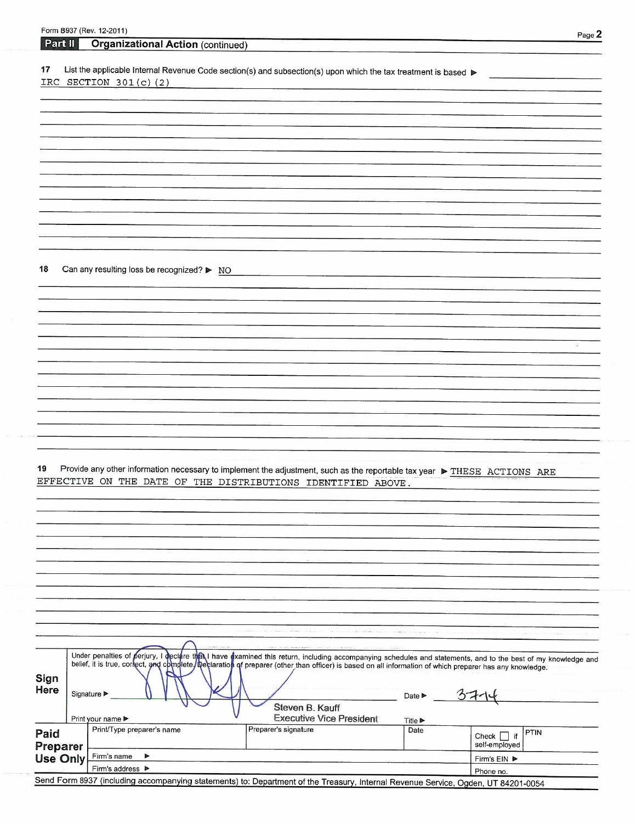|                 | Form 8937 (Rev. 12-2011)                                                                                                                                     |                                                                                                                 |                            |                                  | Page 2 |
|-----------------|--------------------------------------------------------------------------------------------------------------------------------------------------------------|-----------------------------------------------------------------------------------------------------------------|----------------------------|----------------------------------|--------|
| Part II         | <b>Organizational Action (continued)</b>                                                                                                                     |                                                                                                                 |                            |                                  |        |
|                 |                                                                                                                                                              |                                                                                                                 |                            |                                  |        |
| 17              | List the applicable Internal Revenue Code section(s) and subsection(s) upon which the tax treatment is based                                                 |                                                                                                                 |                            |                                  |        |
|                 | IRC SECTION $301(c)$ (2)                                                                                                                                     |                                                                                                                 |                            |                                  |        |
|                 |                                                                                                                                                              |                                                                                                                 |                            |                                  |        |
|                 |                                                                                                                                                              |                                                                                                                 |                            |                                  |        |
|                 |                                                                                                                                                              |                                                                                                                 |                            |                                  |        |
|                 |                                                                                                                                                              |                                                                                                                 |                            |                                  |        |
|                 |                                                                                                                                                              |                                                                                                                 |                            |                                  |        |
|                 |                                                                                                                                                              |                                                                                                                 |                            |                                  |        |
|                 |                                                                                                                                                              |                                                                                                                 |                            |                                  |        |
|                 |                                                                                                                                                              |                                                                                                                 |                            |                                  |        |
|                 |                                                                                                                                                              |                                                                                                                 |                            |                                  |        |
|                 |                                                                                                                                                              |                                                                                                                 |                            |                                  |        |
|                 |                                                                                                                                                              |                                                                                                                 |                            |                                  |        |
|                 |                                                                                                                                                              |                                                                                                                 |                            |                                  |        |
| 18              |                                                                                                                                                              |                                                                                                                 |                            |                                  |        |
|                 | Can any resulting loss be recognized? ▶ NO                                                                                                                   |                                                                                                                 |                            |                                  |        |
|                 |                                                                                                                                                              |                                                                                                                 |                            |                                  |        |
|                 |                                                                                                                                                              |                                                                                                                 |                            |                                  |        |
|                 |                                                                                                                                                              |                                                                                                                 |                            |                                  |        |
|                 |                                                                                                                                                              |                                                                                                                 |                            |                                  |        |
|                 |                                                                                                                                                              |                                                                                                                 |                            |                                  | $\sim$ |
|                 |                                                                                                                                                              |                                                                                                                 |                            |                                  |        |
|                 |                                                                                                                                                              |                                                                                                                 |                            |                                  |        |
|                 |                                                                                                                                                              |                                                                                                                 |                            |                                  |        |
|                 |                                                                                                                                                              |                                                                                                                 |                            |                                  |        |
|                 |                                                                                                                                                              |                                                                                                                 |                            |                                  |        |
|                 |                                                                                                                                                              |                                                                                                                 |                            |                                  |        |
|                 |                                                                                                                                                              |                                                                                                                 |                            |                                  |        |
|                 |                                                                                                                                                              |                                                                                                                 |                            |                                  |        |
| 19              | Provide any other information necessary to implement the adjustment, such as the reportable tax year ▶ THESE ACTIONS ARE                                     |                                                                                                                 |                            |                                  |        |
|                 | EFFECTIVE ON THE DATE OF THE DISTRIBUTIONS IDENTIFIED ABOVE.                                                                                                 |                                                                                                                 |                            |                                  |        |
|                 |                                                                                                                                                              |                                                                                                                 |                            |                                  |        |
|                 |                                                                                                                                                              |                                                                                                                 |                            |                                  |        |
|                 |                                                                                                                                                              |                                                                                                                 |                            |                                  |        |
|                 |                                                                                                                                                              |                                                                                                                 |                            |                                  |        |
|                 |                                                                                                                                                              |                                                                                                                 |                            |                                  |        |
|                 |                                                                                                                                                              |                                                                                                                 |                            |                                  |        |
|                 |                                                                                                                                                              |                                                                                                                 |                            |                                  |        |
|                 |                                                                                                                                                              |                                                                                                                 |                            |                                  |        |
|                 |                                                                                                                                                              |                                                                                                                 |                            |                                  |        |
|                 |                                                                                                                                                              |                                                                                                                 |                            |                                  |        |
|                 |                                                                                                                                                              | the contract of the contract of the contract of the contract of the contract of the contract of the contract of |                            |                                  |        |
|                 |                                                                                                                                                              |                                                                                                                 |                            |                                  |        |
|                 | Under penalties of perjury, I declare that I have examined this return, including accompanying schedules and statements, and to the best of my knowledge and |                                                                                                                 |                            |                                  |        |
|                 | belief, it is true, correct, and complete/Declaration of preparer (other than officer) is based on all information of which preparer has any knowledge.      |                                                                                                                 |                            |                                  |        |
| Sign            |                                                                                                                                                              |                                                                                                                 |                            |                                  |        |
| Here            | Signature ▶                                                                                                                                                  |                                                                                                                 | Date $\blacktriangleright$ |                                  |        |
|                 |                                                                                                                                                              | Steven B. Kauff                                                                                                 |                            |                                  |        |
|                 | Print your name ▶                                                                                                                                            | <b>Executive Vice President</b>                                                                                 | <b>Title ▶</b>             |                                  |        |
| Paid            | Print/Type preparer's name                                                                                                                                   | Preparer's signature                                                                                            | Date                       | PTIN                             |        |
| Preparer        |                                                                                                                                                              |                                                                                                                 |                            | Check $\Box$ if<br>self-employed |        |
| <b>Use Only</b> | Firm's name<br>▶                                                                                                                                             |                                                                                                                 |                            | Firm's EIN                       |        |
|                 | Firm's address ▶                                                                                                                                             |                                                                                                                 |                            | Phone no.                        |        |
|                 | Send Form 8937 (including accompanying statements) to: Department of the Treasury, Internal Revenue Service, Ogden UT 84201-0054                             |                                                                                                                 |                            |                                  |        |